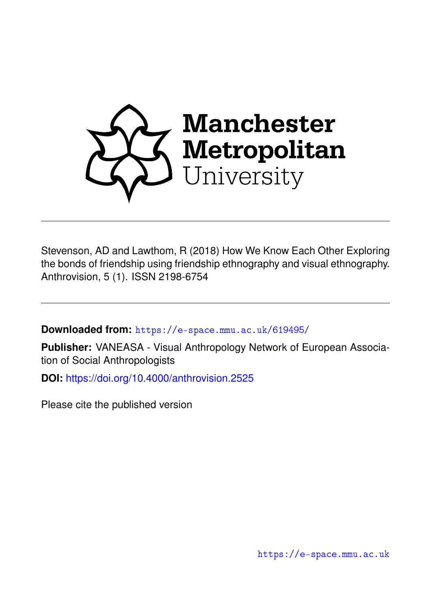

Stevenson, AD and Lawthom, R (2018) How We Know Each Other Exploring the bonds of friendship using friendship ethnography and visual ethnography. Anthrovision, 5 (1). ISSN 2198-6754

**Downloaded from:** <https://e-space.mmu.ac.uk/619495/>

**Publisher:** VANEASA - Visual Anthropology Network of European Association of Social Anthropologists

**DOI:** <https://doi.org/10.4000/anthrovision.2525>

Please cite the published version

<https://e-space.mmu.ac.uk>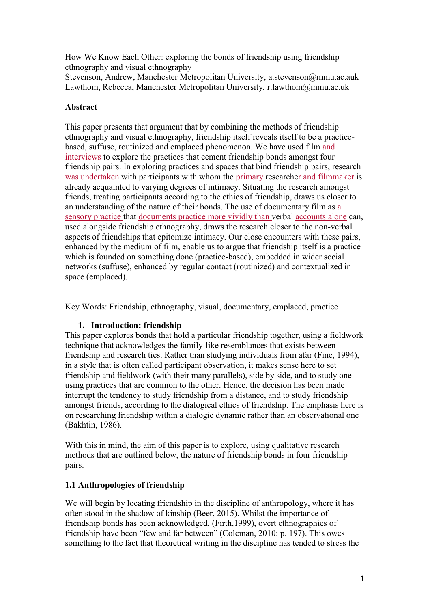How We Know Each Other: exploring the bonds of friendship using friendship ethnography and visual ethnography

Stevenson, Andrew, Manchester Metropolitan University, [a.stevenson@mmu.ac.auk](mailto:a.stevenson@mmu.ac.auk) Lawthom, Rebecca, Manchester Metropolitan University, [r.lawthom@mmu.ac.uk](mailto:r.lawthom@mmu.ac.uk)

# **Abstract**

This paper presents that argument that by combining the methods of friendship ethnography and visual ethnography, friendship itself reveals itself to be a practicebased, suffuse, routinized and emplaced phenomenon. We have used film and interviews to explore the practices that cement friendship bonds amongst four friendship pairs. In exploring practices and spaces that bind friendship pairs, research was undertaken with participants with whom the primary researcher and filmmaker is already acquainted to varying degrees of intimacy. Situating the research amongst friends, treating participants according to the ethics of friendship, draws us closer to an understanding of the nature of their bonds. The use of documentary film as a sensory practice that documents practice more vividly than verbal accounts alone can, used alongside friendship ethnography, draws the research closer to the non-verbal aspects of friendships that epitomize intimacy. Our close encounters with these pairs, enhanced by the medium of film, enable us to argue that friendship itself is a practice which is founded on something done (practice-based), embedded in wider social networks (suffuse), enhanced by regular contact (routinized) and contextualized in space (emplaced).

Key Words: Friendship, ethnography, visual, documentary, emplaced, practice

# **1. Introduction: friendship**

This paper explores bonds that hold a particular friendship together, using a fieldwork technique that acknowledges the family-like resemblances that exists between friendship and research ties. Rather than studying individuals from afar (Fine, 1994), in a style that is often called participant observation, it makes sense here to set friendship and fieldwork (with their many parallels), side by side, and to study one using practices that are common to the other. Hence, the decision has been made interrupt the tendency to study friendship from a distance, and to study friendship amongst friends, according to the dialogical ethics of friendship. The emphasis here is on researching friendship within a dialogic dynamic rather than an observational one (Bakhtin, 1986).

With this in mind, the aim of this paper is to explore, using qualitative research methods that are outlined below, the nature of friendship bonds in four friendship pairs.

## **1.1 Anthropologies of friendship**

We will begin by locating friendship in the discipline of anthropology, where it has often stood in the shadow of kinship (Beer, 2015). Whilst the importance of friendship bonds has been acknowledged, (Firth,1999), overt ethnographies of friendship have been "few and far between" (Coleman, 2010: p. 197). This owes something to the fact that theoretical writing in the discipline has tended to stress the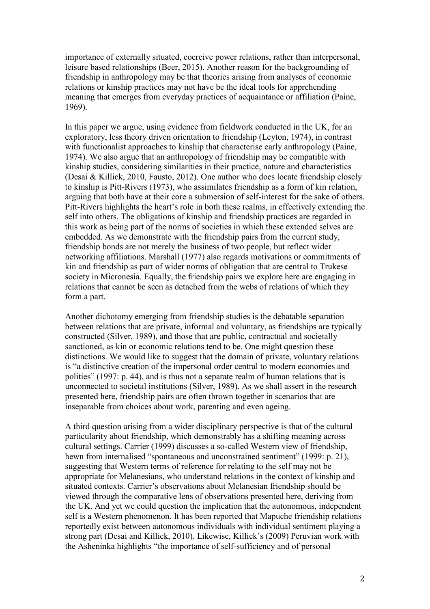importance of externally situated, coercive power relations, rather than interpersonal, leisure based relationships (Beer, 2015). Another reason for the backgrounding of friendship in anthropology may be that theories arising from analyses of economic relations or kinship practices may not have be the ideal tools for apprehending meaning that emerges from everyday practices of acquaintance or affiliation (Paine, 1969).

In this paper we argue, using evidence from fieldwork conducted in the UK, for an exploratory, less theory driven orientation to friendship (Leyton, 1974), in contrast with functionalist approaches to kinship that characterise early anthropology (Paine, 1974). We also argue that an anthropology of friendship may be compatible with kinship studies, considering similarities in their practice, nature and characteristics (Desai & Killick, 2010, Fausto, 2012). One author who does locate friendship closely to kinship is Pitt-Rivers (1973), who assimilates friendship as a form of kin relation, arguing that both have at their core a submersion of self-interest for the sake of others. Pitt-Rivers highlights the heart's role in both these realms, in effectively extending the self into others. The obligations of kinship and friendship practices are regarded in this work as being part of the norms of societies in which these extended selves are embedded. As we demonstrate with the friendship pairs from the current study, friendship bonds are not merely the business of two people, but reflect wider networking affiliations. Marshall (1977) also regards motivations or commitments of kin and friendship as part of wider norms of obligation that are central to Trukese society in Micronesia. Equally, the friendship pairs we explore here are engaging in relations that cannot be seen as detached from the webs of relations of which they form a part.

Another dichotomy emerging from friendship studies is the debatable separation between relations that are private, informal and voluntary, as friendships are typically constructed (Silver, 1989), and those that are public, contractual and societally sanctioned, as kin or economic relations tend to be. One might question these distinctions. We would like to suggest that the domain of private, voluntary relations is "a distinctive creation of the impersonal order central to modern economies and polities" (1997: p. 44), and is thus not a separate realm of human relations that is unconnected to societal institutions (Silver, 1989). As we shall assert in the research presented here, friendship pairs are often thrown together in scenarios that are inseparable from choices about work, parenting and even ageing.

A third question arising from a wider disciplinary perspective is that of the cultural particularity about friendship, which demonstrably has a shifting meaning across cultural settings. Carrier (1999) discusses a so-called Western view of friendship, hewn from internalised "spontaneous and unconstrained sentiment" (1999: p. 21), suggesting that Western terms of reference for relating to the self may not be appropriate for Melanesians, who understand relations in the context of kinship and situated contexts. Carrier's observations about Melanesian friendship should be viewed through the comparative lens of observations presented here, deriving from the UK. And yet we could question the implication that the autonomous, independent self is a Western phenomenon. It has been reported that Mapuche friendship relations reportedly exist between autonomous individuals with individual sentiment playing a strong part (Desai and Killick, 2010). Likewise, Killick's (2009) Peruvian work with the Asheninka highlights "the importance of self-sufficiency and of personal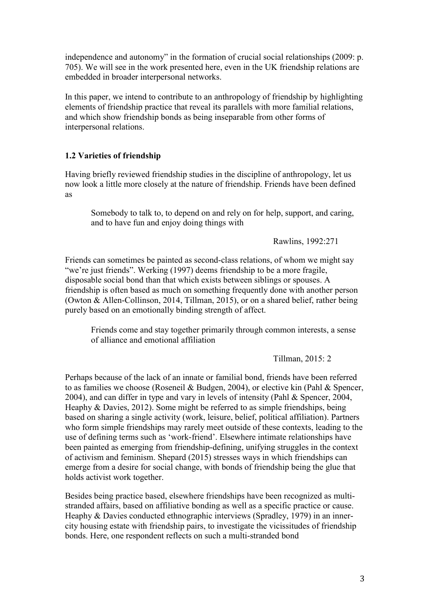independence and autonomy" in the formation of crucial social relationships (2009: p. 705). We will see in the work presented here, even in the UK friendship relations are embedded in broader interpersonal networks.

In this paper, we intend to contribute to an anthropology of friendship by highlighting elements of friendship practice that reveal its parallels with more familial relations, and which show friendship bonds as being inseparable from other forms of interpersonal relations.

# **1.2 Varieties of friendship**

Having briefly reviewed friendship studies in the discipline of anthropology, let us now look a little more closely at the nature of friendship. Friends have been defined as

Somebody to talk to, to depend on and rely on for help, support, and caring, and to have fun and enjoy doing things with

Rawlins, 1992:271

Friends can sometimes be painted as second-class relations, of whom we might say "we're just friends". Werking (1997) deems friendship to be a more fragile, disposable social bond than that which exists between siblings or spouses. A friendship is often based as much on something frequently done with another person (Owton & Allen-Collinson, 2014, Tillman, 2015), or on a shared belief, rather being purely based on an emotionally binding strength of affect.

Friends come and stay together primarily through common interests, a sense of alliance and emotional affiliation

Tillman, 2015: 2

Perhaps because of the lack of an innate or familial bond, friends have been referred to as families we choose (Roseneil & Budgen, 2004), or elective kin (Pahl & Spencer, 2004), and can differ in type and vary in levels of intensity (Pahl & Spencer, 2004, Heaphy & Davies, 2012). Some might be referred to as simple friendships, being based on sharing a single activity (work, leisure, belief, political affiliation). Partners who form simple friendships may rarely meet outside of these contexts, leading to the use of defining terms such as 'work-friend'. Elsewhere intimate relationships have been painted as emerging from friendship-defining, unifying struggles in the context of activism and feminism. Shepard (2015) stresses ways in which friendships can emerge from a desire for social change, with bonds of friendship being the glue that holds activist work together.

Besides being practice based, elsewhere friendships have been recognized as multistranded affairs, based on affiliative bonding as well as a specific practice or cause. Heaphy & Davies conducted ethnographic interviews (Spradley, 1979) in an innercity housing estate with friendship pairs, to investigate the vicissitudes of friendship bonds. Here, one respondent reflects on such a multi-stranded bond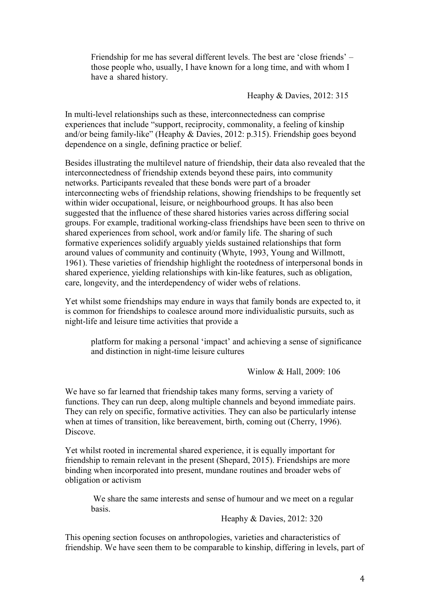Friendship for me has several different levels. The best are 'close friends' – those people who, usually, I have known for a long time, and with whom I have a shared history.

Heaphy & Davies, 2012: 315

In multi-level relationships such as these, interconnectedness can comprise experiences that include "support, reciprocity, commonality, a feeling of kinship and/or being family-like" (Heaphy & Davies, 2012: p.315). Friendship goes beyond dependence on a single, defining practice or belief.

Besides illustrating the multilevel nature of friendship, their data also revealed that the interconnectedness of friendship extends beyond these pairs, into community networks. Participants revealed that these bonds were part of a broader interconnecting webs of friendship relations, showing friendships to be frequently set within wider occupational, leisure, or neighbourhood groups. It has also been suggested that the influence of these shared histories varies across differing social groups. For example, traditional working-class friendships have been seen to thrive on shared experiences from school, work and/or family life. The sharing of such formative experiences solidify arguably yields sustained relationships that form around values of community and continuity (Whyte, 1993, Young and Willmott, 1961). These varieties of friendship highlight the rootedness of interpersonal bonds in shared experience, yielding relationships with kin-like features, such as obligation, care, longevity, and the interdependency of wider webs of relations.

Yet whilst some friendships may endure in ways that family bonds are expected to, it is common for friendships to coalesce around more individualistic pursuits, such as night-life and leisure time activities that provide a

platform for making a personal 'impact' and achieving a sense of significance and distinction in night-time leisure cultures

Winlow & Hall, 2009: 106

We have so far learned that friendship takes many forms, serving a variety of functions. They can run deep, along multiple channels and beyond immediate pairs. They can rely on specific, formative activities. They can also be particularly intense when at times of transition, like bereavement, birth, coming out (Cherry, 1996). Discove.

Yet whilst rooted in incremental shared experience, it is equally important for friendship to remain relevant in the present (Shepard, 2015). Friendships are more binding when incorporated into present, mundane routines and broader webs of obligation or activism

We share the same interests and sense of humour and we meet on a regular basis.

Heaphy & Davies, 2012: 320

This opening section focuses on anthropologies, varieties and characteristics of friendship. We have seen them to be comparable to kinship, differing in levels, part of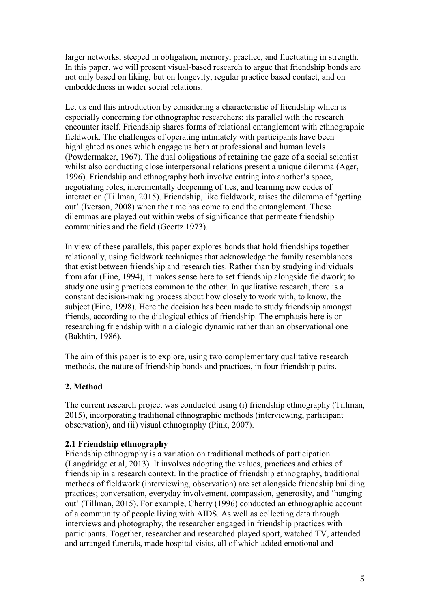larger networks, steeped in obligation, memory, practice, and fluctuating in strength. In this paper, we will present visual-based research to argue that friendship bonds are not only based on liking, but on longevity, regular practice based contact, and on embeddedness in wider social relations.

Let us end this introduction by considering a characteristic of friendship which is especially concerning for ethnographic researchers; its parallel with the research encounter itself. Friendship shares forms of relational entanglement with ethnographic fieldwork. The challenges of operating intimately with participants have been highlighted as ones which engage us both at professional and human levels (Powdermaker, 1967). The dual obligations of retaining the gaze of a social scientist whilst also conducting close interpersonal relations present a unique dilemma (Ager, 1996). Friendship and ethnography both involve entring into another's space, negotiating roles, incrementally deepening of ties, and learning new codes of interaction (Tillman, 2015). Friendship, like fieldwork, raises the dilemma of 'getting out' (Iverson, 2008) when the time has come to end the entanglement. These dilemmas are played out within webs of significance that permeate friendship communities and the field (Geertz 1973).

In view of these parallels, this paper explores bonds that hold friendships together relationally, using fieldwork techniques that acknowledge the family resemblances that exist between friendship and research ties. Rather than by studying individuals from afar (Fine, 1994), it makes sense here to set friendship alongside fieldwork; to study one using practices common to the other. In qualitative research, there is a constant decision-making process about how closely to work with, to know, the subject (Fine, 1998). Here the decision has been made to study friendship amongst friends, according to the dialogical ethics of friendship. The emphasis here is on researching friendship within a dialogic dynamic rather than an observational one (Bakhtin, 1986).

The aim of this paper is to explore, using two complementary qualitative research methods, the nature of friendship bonds and practices, in four friendship pairs.

## **2. Method**

The current research project was conducted using (i) friendship ethnography (Tillman, 2015), incorporating traditional ethnographic methods (interviewing, participant observation), and (ii) visual ethnography (Pink, 2007).

## **2.1 Friendship ethnography**

Friendship ethnography is a variation on traditional methods of participation (Langdridge et al, 2013). It involves adopting the values, practices and ethics of friendship in a research context. In the practice of friendship ethnography, traditional methods of fieldwork (interviewing, observation) are set alongside friendship building practices; conversation, everyday involvement, compassion, generosity, and 'hanging out' (Tillman, 2015). For example, Cherry (1996) conducted an ethnographic account of a community of people living with AIDS. As well as collecting data through interviews and photography, the researcher engaged in friendship practices with participants. Together, researcher and researched played sport, watched TV, attended and arranged funerals, made hospital visits, all of which added emotional and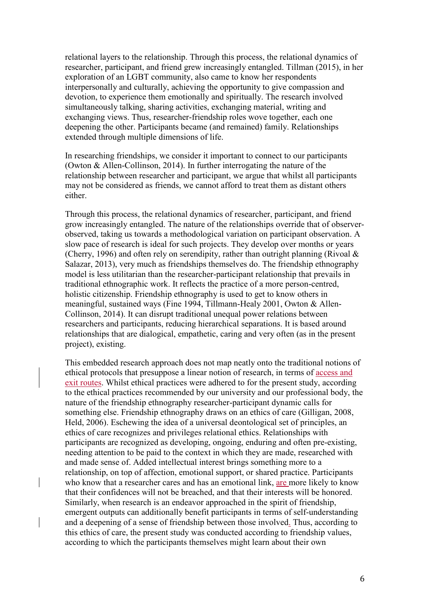relational layers to the relationship. Through this process, the relational dynamics of researcher, participant, and friend grew increasingly entangled. Tillman (2015), in her exploration of an LGBT community, also came to know her respondents interpersonally and culturally, achieving the opportunity to give compassion and devotion, to experience them emotionally and spiritually. The research involved simultaneously talking, sharing activities, exchanging material, writing and exchanging views. Thus, researcher-friendship roles wove together, each one deepening the other. Participants became (and remained) family. Relationships extended through multiple dimensions of life.

In researching friendships, we consider it important to connect to our participants (Owton & Allen-Collinson, 2014). In further interrogating the nature of the relationship between researcher and participant, we argue that whilst all participants may not be considered as friends, we cannot afford to treat them as distant others either.

Through this process, the relational dynamics of researcher, participant, and friend grow increasingly entangled. The nature of the relationships override that of observerobserved, taking us towards a methodological variation on participant observation. A slow pace of research is ideal for such projects. They develop over months or years (Cherry, 1996) and often rely on serendipity, rather than outright planning (Rivoal & Salazar, 2013), very much as friendships themselves do. The friendship ethnography model is less utilitarian than the researcher-participant relationship that prevails in traditional ethnographic work. It reflects the practice of a more person-centred, holistic citizenship. Friendship ethnography is used to get to know others in meaningful, sustained ways (Fine 1994, Tillmann-Healy 2001, Owton & Allen-Collinson, 2014). It can disrupt traditional unequal power relations between researchers and participants, reducing hierarchical separations. It is based around relationships that are dialogical, empathetic, caring and very often (as in the present project), existing.

This embedded research approach does not map neatly onto the traditional notions of ethical protocols that presuppose a linear notion of research, in terms of access and exit routes. Whilst ethical practices were adhered to for the present study, according to the ethical practices recommended by our university and our professional body, the nature of the friendship ethnography researcher-participant dynamic calls for something else. Friendship ethnography draws on an ethics of care (Gilligan, 2008, Held, 2006). Eschewing the idea of a universal deontological set of principles, an ethics of care recognizes and privileges relational ethics. Relationships with participants are recognized as developing, ongoing, enduring and often pre-existing, needing attention to be paid to the context in which they are made, researched with and made sense of. Added intellectual interest brings something more to a relationship, on top of affection, emotional support, or shared practice. Participants who know that a researcher cares and has an emotional link, are more likely to know that their confidences will not be breached, and that their interests will be honored. Similarly, when research is an endeavor approached in the spirit of friendship, emergent outputs can additionally benefit participants in terms of self-understanding and a deepening of a sense of friendship between those involved. Thus, according to this ethics of care, the present study was conducted according to friendship values, according to which the participants themselves might learn about their own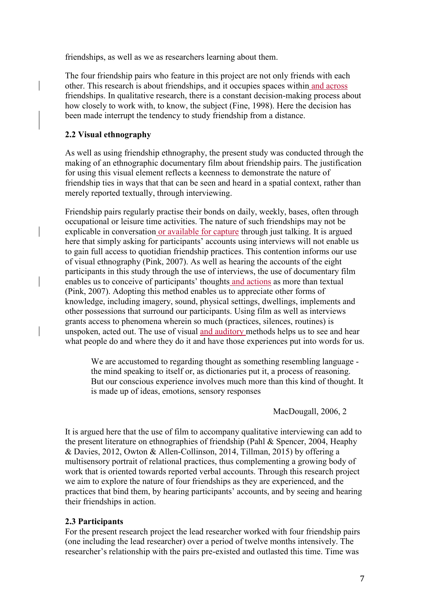friendships, as well as we as researchers learning about them.

The four friendship pairs who feature in this project are not only friends with each other. This research is about friendships, and it occupies spaces within and across friendships. In qualitative research, there is a constant decision-making process about how closely to work with, to know, the subject (Fine, 1998). Here the decision has been made interrupt the tendency to study friendship from a distance.

# **2.2 Visual ethnography**

As well as using friendship ethnography, the present study was conducted through the making of an ethnographic documentary film about friendship pairs. The justification for using this visual element reflects a keenness to demonstrate the nature of friendship ties in ways that that can be seen and heard in a spatial context, rather than merely reported textually, through interviewing.

Friendship pairs regularly practise their bonds on daily, weekly, bases, often through occupational or leisure time activities. The nature of such friendships may not be explicable in conversation or available for capture through just talking. It is argued here that simply asking for participants' accounts using interviews will not enable us to gain full access to quotidian friendship practices. This contention informs our use of visual ethnography (Pink, 2007). As well as hearing the accounts of the eight participants in this study through the use of interviews, the use of documentary film enables us to conceive of participants' thoughts and actions as more than textual (Pink, 2007). Adopting this method enables us to appreciate other forms of knowledge, including imagery, sound, physical settings, dwellings, implements and other possessions that surround our participants. Using film as well as interviews grants access to phenomena wherein so much (practices, silences, routines) is unspoken, acted out. The use of visual and auditory methods helps us to see and hear what people do and where they do it and have those experiences put into words for us.

We are accustomed to regarding thought as something resembling language the mind speaking to itself or, as dictionaries put it, a process of reasoning. But our conscious experience involves much more than this kind of thought. It is made up of ideas, emotions, sensory responses

MacDougall, 2006, 2

It is argued here that the use of film to accompany qualitative interviewing can add to the present literature on ethnographies of friendship (Pahl & Spencer, 2004, Heaphy & Davies, 2012, Owton & Allen-Collinson, 2014, Tillman, 2015) by offering a multisensory portrait of relational practices, thus complementing a growing body of work that is oriented towards reported verbal accounts. Through this research project we aim to explore the nature of four friendships as they are experienced, and the practices that bind them, by hearing participants' accounts, and by seeing and hearing their friendships in action.

## **2.3 Participants**

For the present research project the lead researcher worked with four friendship pairs (one including the lead researcher) over a period of twelve months intensively. The researcher's relationship with the pairs pre-existed and outlasted this time. Time was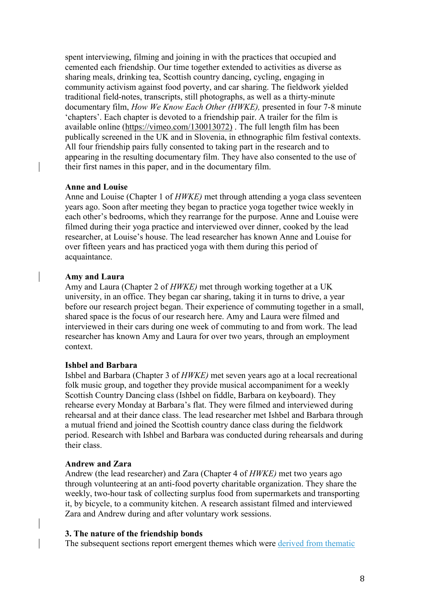spent interviewing, filming and joining in with the practices that occupied and cemented each friendship. Our time together extended to activities as diverse as sharing meals, drinking tea, Scottish country dancing, cycling, engaging in community activism against food poverty, and car sharing. The fieldwork yielded traditional field-notes, transcripts, still photographs, as well as a thirty-minute documentary film, *How We Know Each Other (HWKE),* presented in four 7-8 minute 'chapters'. Each chapter is devoted to a friendship pair. A trailer for the film is available online [\(https://vimeo.com/130013072\)](https://vimeo.com/130013072)) . The full length film has been publically screened in the UK and in Slovenia, in ethnographic film festival contexts. All four friendship pairs fully consented to taking part in the research and to appearing in the resulting documentary film. They have also consented to the use of their first names in this paper, and in the documentary film.

### **Anne and Louise**

Anne and Louise (Chapter 1 of *HWKE)* met through attending a yoga class seventeen years ago. Soon after meeting they began to practice yoga together twice weekly in each other's bedrooms, which they rearrange for the purpose. Anne and Louise were filmed during their yoga practice and interviewed over dinner, cooked by the lead researcher, at Louise's house. The lead researcher has known Anne and Louise for over fifteen years and has practiced yoga with them during this period of acquaintance.

#### **Amy and Laura**

Amy and Laura (Chapter 2 of *HWKE)* met through working together at a UK university, in an office. They began car sharing, taking it in turns to drive, a year before our research project began. Their experience of commuting together in a small, shared space is the focus of our research here. Amy and Laura were filmed and interviewed in their cars during one week of commuting to and from work. The lead researcher has known Amy and Laura for over two years, through an employment context.

### **Ishbel and Barbara**

Ishbel and Barbara (Chapter 3 of *HWKE)* met seven years ago at a local recreational folk music group, and together they provide musical accompaniment for a weekly Scottish Country Dancing class (Ishbel on fiddle, Barbara on keyboard). They rehearse every Monday at Barbara's flat. They were filmed and interviewed during rehearsal and at their dance class. The lead researcher met Ishbel and Barbara through a mutual friend and joined the Scottish country dance class during the fieldwork period. Research with Ishbel and Barbara was conducted during rehearsals and during their class.

#### **Andrew and Zara**

Andrew (the lead researcher) and Zara (Chapter 4 of *HWKE)* met two years ago through volunteering at an anti-food poverty charitable organization. They share the weekly, two-hour task of collecting surplus food from supermarkets and transporting it, by bicycle, to a community kitchen. A research assistant filmed and interviewed Zara and Andrew during and after voluntary work sessions.

#### **3. The nature of the friendship bonds**

The subsequent sections report emergent themes which were derived from thematic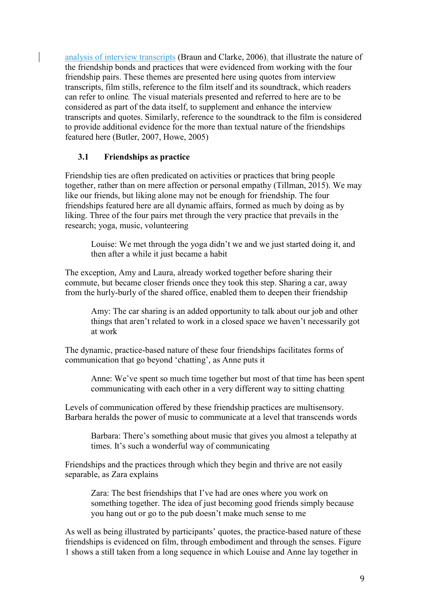analysis of interview transcripts (Braun and Clarke, 2006), that illustrate the nature of the friendship bonds and practices that were evidenced from working with the four friendship pairs. These themes are presented here using quotes from interview transcripts, film stills, reference to the film itself and its soundtrack, which readers can refer to online*.* The visual materials presented and referred to here are to be considered as part of the data itself, to supplement and enhance the interview transcripts and quotes. Similarly, reference to the soundtrack to the film is considered to provide additional evidence for the more than textual nature of the friendships featured here (Butler, 2007, Howe, 2005)

## **3.1 Friendships as practice**

Friendship ties are often predicated on activities or practices that bring people together, rather than on mere affection or personal empathy (Tillman, 2015). We may like our friends, but liking alone may not be enough for friendship. The four friendships featured here are all dynamic affairs, formed as much by doing as by liking. Three of the four pairs met through the very practice that prevails in the research; yoga, music, volunteering

Louise: We met through the yoga didn't we and we just started doing it, and then after a while it just became a habit

The exception, Amy and Laura, already worked together before sharing their commute, but became closer friends once they took this step. Sharing a car, away from the hurly-burly of the shared office, enabled them to deepen their friendship

Amy: The car sharing is an added opportunity to talk about our job and other things that aren't related to work in a closed space we haven't necessarily got at work

The dynamic, practice-based nature of these four friendships facilitates forms of communication that go beyond 'chatting', as Anne puts it

Anne: We've spent so much time together but most of that time has been spent communicating with each other in a very different way to sitting chatting

Levels of communication offered by these friendship practices are multisensory. Barbara heralds the power of music to communicate at a level that transcends words

Barbara: There's something about music that gives you almost a telepathy at times. It's such a wonderful way of communicating

Friendships and the practices through which they begin and thrive are not easily separable, as Zara explains

Zara: The best friendships that I've had are ones where you work on something together. The idea of just becoming good friends simply because you hang out or go to the pub doesn't make much sense to me

As well as being illustrated by participants' quotes, the practice-based nature of these friendships is evidenced on film, through embodiment and through the senses. Figure 1 shows a still taken from a long sequence in which Louise and Anne lay together in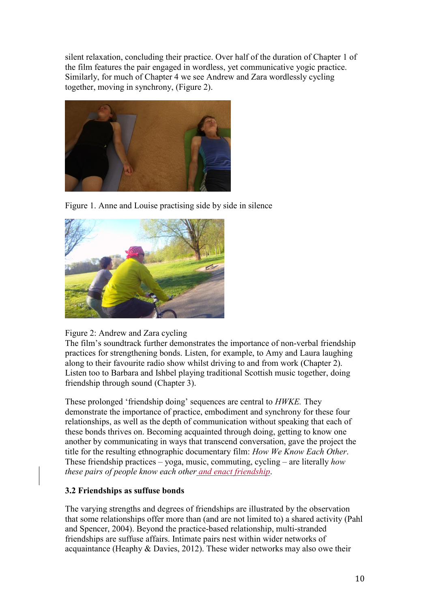silent relaxation, concluding their practice. Over half of the duration of Chapter 1 of the film features the pair engaged in wordless, yet communicative yogic practice. Similarly, for much of Chapter 4 we see Andrew and Zara wordlessly cycling together, moving in synchrony, (Figure 2).



Figure 1. Anne and Louise practising side by side in silence



## Figure 2: Andrew and Zara cycling

The film's soundtrack further demonstrates the importance of non-verbal friendship practices for strengthening bonds. Listen, for example, to Amy and Laura laughing along to their favourite radio show whilst driving to and from work (Chapter 2). Listen too to Barbara and Ishbel playing traditional Scottish music together, doing friendship through sound (Chapter 3).

These prolonged 'friendship doing' sequences are central to *HWKE.* They demonstrate the importance of practice, embodiment and synchrony for these four relationships, as well as the depth of communication without speaking that each of these bonds thrives on. Becoming acquainted through doing, getting to know one another by communicating in ways that transcend conversation, gave the project the title for the resulting ethnographic documentary film: *How We Know Each Other*. These friendship practices – yoga, music, commuting, cycling – are literally *how these pairs of people know each other and enact friendship*.

## **3.2 Friendships as suffuse bonds**

The varying strengths and degrees of friendships are illustrated by the observation that some relationships offer more than (and are not limited to) a shared activity (Pahl and Spencer, 2004). Beyond the practice-based relationship, multi-stranded friendships are suffuse affairs. Intimate pairs nest within wider networks of acquaintance (Heaphy & Davies, 2012). These wider networks may also owe their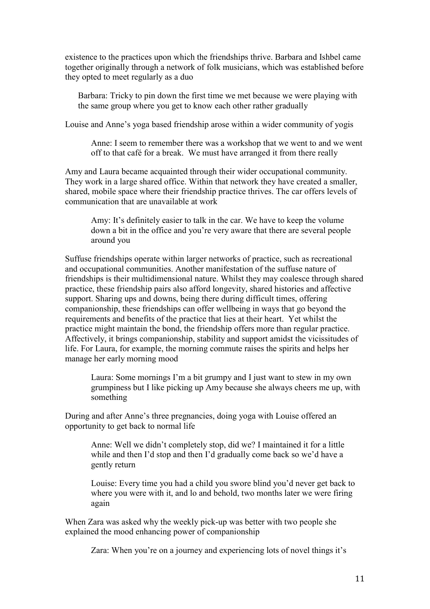existence to the practices upon which the friendships thrive. Barbara and Ishbel came together originally through a network of folk musicians, which was established before they opted to meet regularly as a duo

Barbara: Tricky to pin down the first time we met because we were playing with the same group where you get to know each other rather gradually

Louise and Anne's yoga based friendship arose within a wider community of yogis

Anne: I seem to remember there was a workshop that we went to and we went off to that café for a break. We must have arranged it from there really

Amy and Laura became acquainted through their wider occupational community. They work in a large shared office. Within that network they have created a smaller, shared, mobile space where their friendship practice thrives. The car offers levels of communication that are unavailable at work

Amy: It's definitely easier to talk in the car. We have to keep the volume down a bit in the office and you're very aware that there are several people around you

Suffuse friendships operate within larger networks of practice, such as recreational and occupational communities. Another manifestation of the suffuse nature of friendships is their multidimensional nature. Whilst they may coalesce through shared practice, these friendship pairs also afford longevity, shared histories and affective support. Sharing ups and downs, being there during difficult times, offering companionship, these friendships can offer wellbeing in ways that go beyond the requirements and benefits of the practice that lies at their heart. Yet whilst the practice might maintain the bond, the friendship offers more than regular practice. Affectively, it brings companionship, stability and support amidst the vicissitudes of life. For Laura, for example, the morning commute raises the spirits and helps her manage her early morning mood

Laura: Some mornings I'm a bit grumpy and I just want to stew in my own grumpiness but I like picking up Amy because she always cheers me up, with something

During and after Anne's three pregnancies, doing yoga with Louise offered an opportunity to get back to normal life

Anne: Well we didn't completely stop, did we? I maintained it for a little while and then I'd stop and then I'd gradually come back so we'd have a gently return

Louise: Every time you had a child you swore blind you'd never get back to where you were with it, and lo and behold, two months later we were firing again

When Zara was asked why the weekly pick-up was better with two people she explained the mood enhancing power of companionship

Zara: When you're on a journey and experiencing lots of novel things it's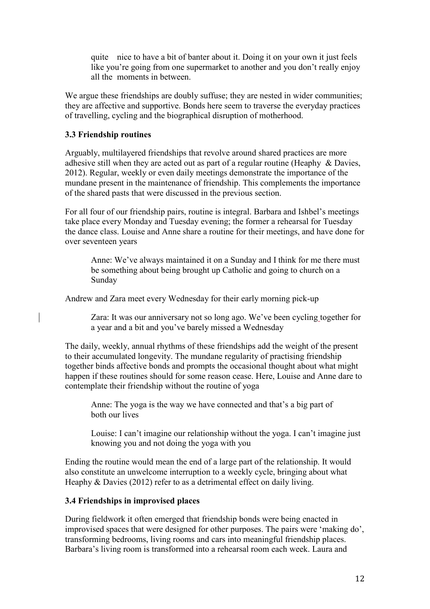quite nice to have a bit of banter about it. Doing it on your own it just feels like you're going from one supermarket to another and you don't really enjoy all the moments in between.

We argue these friendships are doubly suffuse; they are nested in wider communities; they are affective and supportive. Bonds here seem to traverse the everyday practices of travelling, cycling and the biographical disruption of motherhood.

### **3.3 Friendship routines**

Arguably, multilayered friendships that revolve around shared practices are more adhesive still when they are acted out as part of a regular routine (Heaphy & Davies, 2012). Regular, weekly or even daily meetings demonstrate the importance of the mundane present in the maintenance of friendship. This complements the importance of the shared pasts that were discussed in the previous section.

For all four of our friendship pairs, routine is integral. Barbara and Ishbel's meetings take place every Monday and Tuesday evening; the former a rehearsal for Tuesday the dance class. Louise and Anne share a routine for their meetings, and have done for over seventeen years

Anne: We've always maintained it on a Sunday and I think for me there must be something about being brought up Catholic and going to church on a Sunday

Andrew and Zara meet every Wednesday for their early morning pick-up

Zara: It was our anniversary not so long ago. We've been cycling together for a year and a bit and you've barely missed a Wednesday

The daily, weekly, annual rhythms of these friendships add the weight of the present to their accumulated longevity. The mundane regularity of practising friendship together binds affective bonds and prompts the occasional thought about what might happen if these routines should for some reason cease. Here, Louise and Anne dare to contemplate their friendship without the routine of yoga

Anne: The yoga is the way we have connected and that's a big part of both our lives

Louise: I can't imagine our relationship without the yoga. I can't imagine just knowing you and not doing the yoga with you

Ending the routine would mean the end of a large part of the relationship. It would also constitute an unwelcome interruption to a weekly cycle, bringing about what Heaphy & Davies (2012) refer to as a detrimental effect on daily living.

### **3.4 Friendships in improvised places**

During fieldwork it often emerged that friendship bonds were being enacted in improvised spaces that were designed for other purposes. The pairs were 'making do', transforming bedrooms, living rooms and cars into meaningful friendship places. Barbara's living room is transformed into a rehearsal room each week. Laura and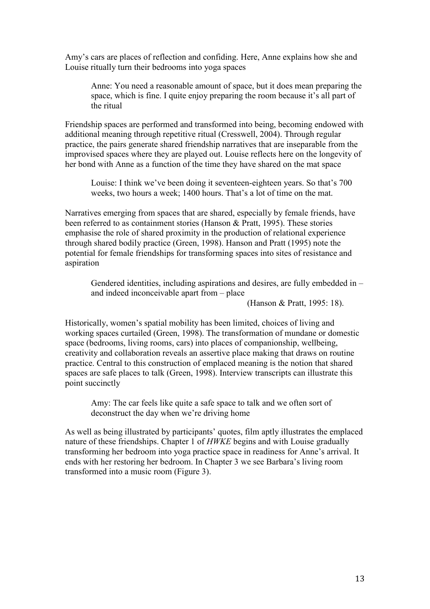Amy's cars are places of reflection and confiding. Here, Anne explains how she and Louise ritually turn their bedrooms into yoga spaces

Anne: You need a reasonable amount of space, but it does mean preparing the space, which is fine. I quite enjoy preparing the room because it's all part of the ritual

Friendship spaces are performed and transformed into being, becoming endowed with additional meaning through repetitive ritual (Cresswell, 2004). Through regular practice, the pairs generate shared friendship narratives that are inseparable from the improvised spaces where they are played out. Louise reflects here on the longevity of her bond with Anne as a function of the time they have shared on the mat space

Louise: I think we've been doing it seventeen-eighteen years. So that's 700 weeks, two hours a week; 1400 hours. That's a lot of time on the mat.

Narratives emerging from spaces that are shared, especially by female friends, have been referred to as containment stories (Hanson & Pratt, 1995). These stories emphasise the role of shared proximity in the production of relational experience through shared bodily practice (Green, 1998). Hanson and Pratt (1995) note the potential for female friendships for transforming spaces into sites of resistance and aspiration

Gendered identities, including aspirations and desires, are fully embedded in – and indeed inconceivable apart from – place

(Hanson & Pratt, 1995: 18).

Historically, women's spatial mobility has been limited, choices of living and working spaces curtailed (Green, 1998). The transformation of mundane or domestic space (bedrooms, living rooms, cars) into places of companionship, wellbeing, creativity and collaboration reveals an assertive place making that draws on routine practice. Central to this construction of emplaced meaning is the notion that shared spaces are safe places to talk (Green, 1998). Interview transcripts can illustrate this point succinctly

Amy: The car feels like quite a safe space to talk and we often sort of deconstruct the day when we're driving home

As well as being illustrated by participants' quotes, film aptly illustrates the emplaced nature of these friendships. Chapter 1 of *HWKE* begins and with Louise gradually transforming her bedroom into yoga practice space in readiness for Anne's arrival. It ends with her restoring her bedroom. In Chapter 3 we see Barbara's living room transformed into a music room (Figure 3).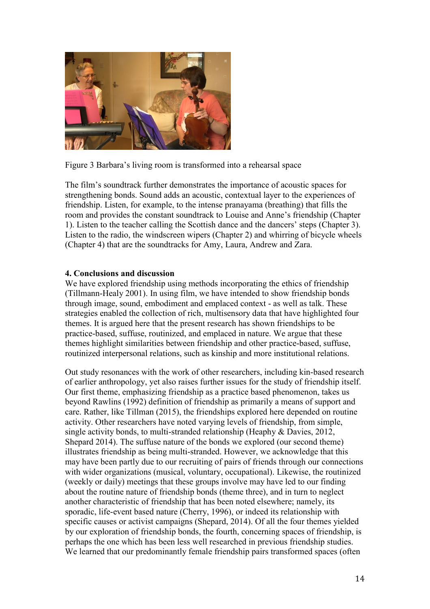

Figure 3 Barbara's living room is transformed into a rehearsal space

The film's soundtrack further demonstrates the importance of acoustic spaces for strengthening bonds. Sound adds an acoustic, contextual layer to the experiences of friendship. Listen, for example, to the intense pranayama (breathing) that fills the room and provides the constant soundtrack to Louise and Anne's friendship (Chapter 1). Listen to the teacher calling the Scottish dance and the dancers' steps (Chapter 3). Listen to the radio, the windscreen wipers (Chapter 2) and whirring of bicycle wheels (Chapter 4) that are the soundtracks for Amy, Laura, Andrew and Zara.

### **4. Conclusions and discussion**

We have explored friendship using methods incorporating the ethics of friendship (Tillmann-Healy 2001). In using film, we have intended to show friendship bonds through image, sound, embodiment and emplaced context - as well as talk. These strategies enabled the collection of rich, multisensory data that have highlighted four themes. It is argued here that the present research has shown friendships to be practice-based, suffuse, routinized, and emplaced in nature. We argue that these themes highlight similarities between friendship and other practice-based, suffuse, routinized interpersonal relations, such as kinship and more institutional relations.

Out study resonances with the work of other researchers, including kin-based research of earlier anthropology, yet also raises further issues for the study of friendship itself. Our first theme, emphasizing friendship as a practice based phenomenon, takes us beyond Rawlins (1992) definition of friendship as primarily a means of support and care. Rather, like Tillman (2015), the friendships explored here depended on routine activity. Other researchers have noted varying levels of friendship, from simple, single activity bonds, to multi-stranded relationship (Heaphy & Davies, 2012, Shepard 2014). The suffuse nature of the bonds we explored (our second theme) illustrates friendship as being multi-stranded. However, we acknowledge that this may have been partly due to our recruiting of pairs of friends through our connections with wider organizations (musical, voluntary, occupational). Likewise, the routinized (weekly or daily) meetings that these groups involve may have led to our finding about the routine nature of friendship bonds (theme three), and in turn to neglect another characteristic of friendship that has been noted elsewhere; namely, its sporadic, life-event based nature (Cherry, 1996), or indeed its relationship with specific causes or activist campaigns (Shepard, 2014). Of all the four themes yielded by our exploration of friendship bonds, the fourth, concerning spaces of friendship, is perhaps the one which has been less well researched in previous friendship studies. We learned that our predominantly female friendship pairs transformed spaces (often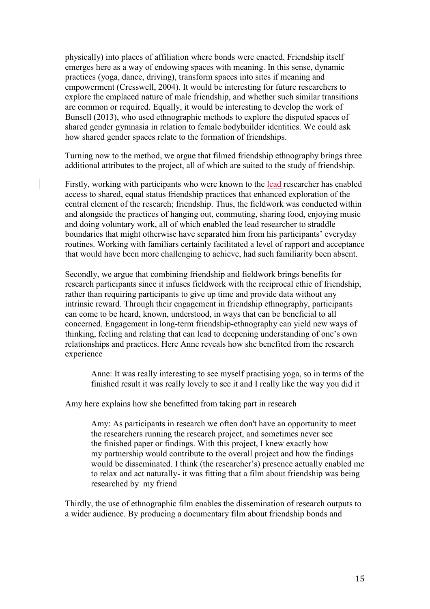physically) into places of affiliation where bonds were enacted. Friendship itself emerges here as a way of endowing spaces with meaning. In this sense, dynamic practices (yoga, dance, driving), transform spaces into sites if meaning and empowerment (Cresswell, 2004). It would be interesting for future researchers to explore the emplaced nature of male friendship, and whether such similar transitions are common or required. Equally, it would be interesting to develop the work of Bunsell (2013), who used ethnographic methods to explore the disputed spaces of shared gender gymnasia in relation to female bodybuilder identities. We could ask how shared gender spaces relate to the formation of friendships.

Turning now to the method, we argue that filmed friendship ethnography brings three additional attributes to the project, all of which are suited to the study of friendship.

Firstly, working with participants who were known to the lead researcher has enabled access to shared, equal status friendship practices that enhanced exploration of the central element of the research; friendship. Thus, the fieldwork was conducted within and alongside the practices of hanging out, commuting, sharing food, enjoying music and doing voluntary work, all of which enabled the lead researcher to straddle boundaries that might otherwise have separated him from his participants' everyday routines. Working with familiars certainly facilitated a level of rapport and acceptance that would have been more challenging to achieve, had such familiarity been absent.

Secondly, we argue that combining friendship and fieldwork brings benefits for research participants since it infuses fieldwork with the reciprocal ethic of friendship, rather than requiring participants to give up time and provide data without any intrinsic reward. Through their engagement in friendship ethnography, participants can come to be heard, known, understood, in ways that can be beneficial to all concerned. Engagement in long-term friendship-ethnography can yield new ways of thinking, feeling and relating that can lead to deepening understanding of one's own relationships and practices. Here Anne reveals how she benefited from the research experience

Anne: It was really interesting to see myself practising yoga, so in terms of the finished result it was really lovely to see it and I really like the way you did it

Amy here explains how she benefitted from taking part in research

Amy: As participants in research we often don't have an opportunity to meet the researchers running the research project, and sometimes never see the finished paper or findings. With this project, I knew exactly how my partnership would contribute to the overall project and how the findings would be disseminated. I think (the researcher's) presence actually enabled me to relax and act naturally- it was fitting that a film about friendship was being researched by my friend

Thirdly, the use of ethnographic film enables the dissemination of research outputs to a wider audience. By producing a documentary film about friendship bonds and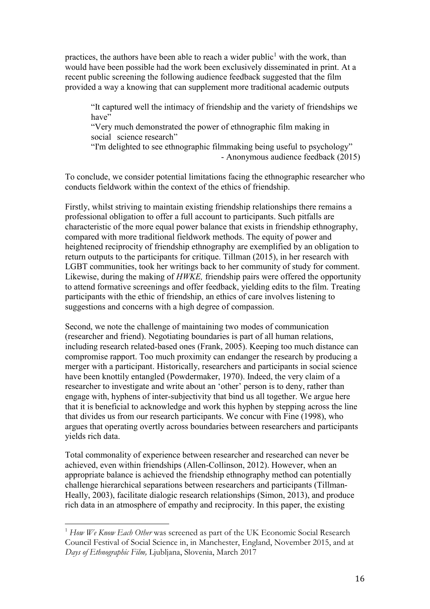practices, the authors have been able to reach a wider public<sup>1</sup> with the work, than would have been possible had the work been exclusively disseminated in print. At a recent public screening the following audience feedback suggested that the film provided a way a knowing that can supplement more traditional academic outputs

"It captured well the intimacy of friendship and the variety of friendships we have"

"Very much demonstrated the power of ethnographic film making in social science research"

"I'm delighted to see ethnographic filmmaking being useful to psychology" - Anonymous audience feedback (2015)

To conclude, we consider potential limitations facing the ethnographic researcher who conducts fieldwork within the context of the ethics of friendship.

Firstly, whilst striving to maintain existing friendship relationships there remains a professional obligation to offer a full account to participants. Such pitfalls are characteristic of the more equal power balance that exists in friendship ethnography, compared with more traditional fieldwork methods. The equity of power and heightened reciprocity of friendship ethnography are exemplified by an obligation to return outputs to the participants for critique. Tillman (2015), in her research with LGBT communities, took her writings back to her community of study for comment. Likewise, during the making of *HWKE,* friendship pairs were offered the opportunity to attend formative screenings and offer feedback, yielding edits to the film. Treating participants with the ethic of friendship, an ethics of care involves listening to suggestions and concerns with a high degree of compassion.

Second, we note the challenge of maintaining two modes of communication (researcher and friend). Negotiating boundaries is part of all human relations, including research related-based ones (Frank, 2005). Keeping too much distance can compromise rapport. Too much proximity can endanger the research by producing a merger with a participant. Historically, researchers and participants in social science have been knottily entangled (Powdermaker, 1970). Indeed, the very claim of a researcher to investigate and write about an 'other' person is to deny, rather than engage with, hyphens of inter-subjectivity that bind us all together. We argue here that it is beneficial to acknowledge and work this hyphen by stepping across the line that divides us from our research participants. We concur with Fine (1998), who argues that operating overtly across boundaries between researchers and participants yields rich data.

Total commonality of experience between researcher and researched can never be achieved, even within friendships (Allen-Collinson, 2012). However, when an appropriate balance is achieved the friendship ethnography method can potentially challenge hierarchical separations between researchers and participants (Tillman-Heally, 2003), facilitate dialogic research relationships (Simon, 2013), and produce rich data in an atmosphere of empathy and reciprocity. In this paper, the existing

 $\overline{\phantom{a}}$ 

<sup>1</sup> *How We Know Each Other* was screened as part of the UK Economic Social Research Council Festival of Social Science in, in Manchester, England, November 2015, and at *Days of Ethnographic Film,* Ljubljana, Slovenia, March 2017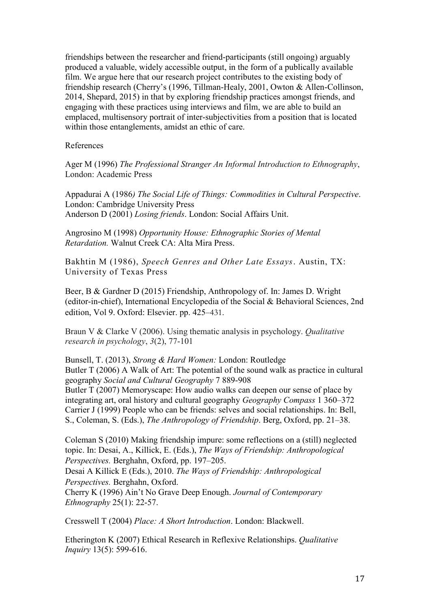friendships between the researcher and friend-participants (still ongoing) arguably produced a valuable, widely accessible output, in the form of a publically available film. We argue here that our research project contributes to the existing body of friendship research (Cherry's (1996, Tillman-Healy, 2001, Owton & Allen-Collinson, 2014, Shepard, 2015) in that by exploring friendship practices amongst friends, and engaging with these practices using interviews and film, we are able to build an emplaced, multisensory portrait of inter-subjectivities from a position that is located within those entanglements, amidst an ethic of care.

#### References

Ager M (1996) *The Professional Stranger An Informal Introduction to Ethnography*, London: Academic Press

Appadurai A (1986*) The Social Life of Things: Commodities in Cultural Perspective*. London: Cambridge University Press Anderson D (2001) *Losing friends*. London: Social Affairs Unit.

Angrosino M (1998) *Opportunity House: Ethnographic Stories of Mental Retardation.* Walnut Creek CA: Alta Mira Press.

Bakhtin M (1986), *Speech Genres and Other Late Essays*. Austin, TX: University of Texas Press

Beer, B & Gardner D (2015) Friendship, Anthropology of. In: James D. Wright (editor-in-chief), International Encyclopedia of the Social & Behavioral Sciences, 2nd edition, Vol 9. Oxford: Elsevier. pp. 425–431.

Braun V & Clarke V (2006). Using thematic analysis in psychology. *Qualitative research in psychology*, *3*(2), 77-101

Bunsell, T. (2013), *Strong & Hard Women:* London: Routledge Butler T (2006) A Walk of Art: The potential of the sound walk as practice in cultural geography *Social and Cultural Geography* 7 889-908 Butler T (2007) Memoryscape: How audio walks can deepen our sense of place by integrating art, oral history and cultural geography *Geography Compass* 1 360–372 Carrier J (1999) People who can be friends: selves and social relationships. In: Bell, S., Coleman, S. (Eds.), *The Anthropology of Friendship*. Berg, Oxford, pp. 21–38.

Coleman S (2010) Making friendship impure: some reflections on a (still) neglected topic. In: Desai, A., Killick, E. (Eds.), *The Ways of Friendship: Anthropological Perspectives.* Berghahn, Oxford, pp. 197–205.

Desai A Killick E (Eds.), 2010. *The Ways of Friendship: Anthropological Perspectives.* Berghahn, Oxford.

Cherry K (1996) Ain't No Grave Deep Enough. *Journal of Contemporary Ethnography* 25(1): 22-57.

Cresswell T (2004) *Place: A Short Introduction*. London: Blackwell.

Etherington K (2007) Ethical Research in Reflexive Relationships. *Qualitative Inquiry* 13(5): 599-616.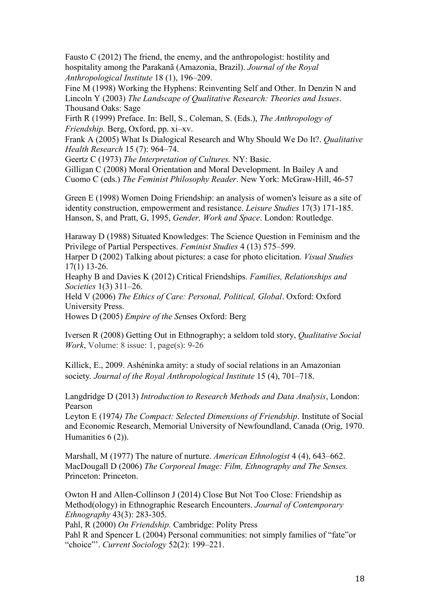Fausto C (2012) The friend, the enemy, and the anthropologist: hostility and hospitality among the Parakanã (Amazonia, Brazil). *Journal of the Royal Anthropological Institute* 18 (1), 196–209.

Fine M (1998) Working the Hyphens: Reinventing Self and Other. In Denzin N and Lincoln Y (2003) *The Landscape of Qualitative Research: Theories and Issues*. Thousand Oaks: Sage

Firth R (1999) Preface. In: Bell, S., Coleman, S. (Eds.), *The Anthropology of Friendship.* Berg, Oxford, pp. xi–xv.

Frank A (2005) What Is Dialogical Research and Why Should We Do It?. *Qualitative Health Research* 15 (7): 964–74.

Geertz C (1973) *The Interpretation of Cultures.* NY: Basic.

Gilligan C (2008) Moral Orientation and Moral Development. In Bailey A and Cuomo C (eds.) *The Feminist Philosophy Reader*. New York: McGraw-Hill, 46-57

Green E (1998) Women Doing Friendship: an analysis of women's leisure as a site of identity construction, empowerment and resistance. *Leisure Studies* 17(3) 171-185. Hanson, S, and Pratt, G, 1995, *Gender, Work and Space*. London: Routledge.

Haraway D (1988) Situated Knowledges: The Science Question in Feminism and the Privilege of Partial Perspectives. *Feminist Studies* 4 (13) 575–599.

Harper D (2002) Talking about pictures: a case for photo elicitation. *Visual Studies* 17(1) 13-26.

Heaphy B and Davies K (2012) Critical Friendships. *Families, Relationships and Societies* 1(3) 311–26.

Held V (2006) *The Ethics of Care: Personal, Political, Global*. Oxford: Oxford University Press.

Howes D (2005) *Empire of the Se*nses Oxford: Berg

Iversen R (2008) Getting Out in Ethnography; a seldom told story, *Qualitative Social Work*, Volume: 8 issue: 1, page(s): 9-26

Killick, E., 2009. Ashéninka amity: a study of social relations in an Amazonian society. *Journal of the Royal Anthropological Institute* 15 (4), 701–718.

Langdridge D (2013) *Introduction to Research Methods and Data Analysis*, London: Pearson

Leyton E (1974*) The Compact: Selected Dimensions of Friendship*. Institute of Social and Economic Research, Memorial University of Newfoundland, Canada (Orig, 1970. Humanities  $6(2)$ ).

Marshall, M (1977) The nature of nurture. *American Ethnologist* 4 (4), 643–662. MacDougall D (2006) *The Corporeal Image: Film, Ethnography and The Senses.* Princeton: Princeton.

Owton H and Allen-Collinson J (2014) Close But Not Too Close: Friendship as Method(ology) in Ethnographic Research Encounters. *Journal of Contemporary Ethnography* 43(3): 283-305.

Pahl, R (2000) *On Friendship.* Cambridge: Polity Press

Pahl R and Spencer L (2004) Personal communities: not simply families of "fate"or "choice"'. *Current Sociology* 52(2): 199–221.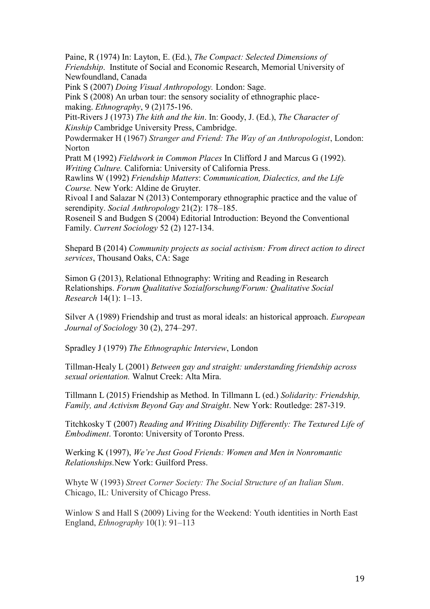Paine, R (1974) In: Layton, E. (Ed.), *The Compact: Selected Dimensions of Friendship*. Institute of Social and Economic Research, Memorial University of Newfoundland, Canada

Pink S (2007) *Doing Visual Anthropology.* London: Sage.

Pink S (2008) An urban tour: the sensory sociality of ethnographic placemaking. *Ethnography*, 9 (2)175-196.

Pitt-Rivers J (1973) *The kith and the kin*. In: Goody, J. (Ed.), *The Character of Kinship* Cambridge University Press, Cambridge.

Powdermaker H (1967) *Stranger and Friend: The Way of an Anthropologist*, London: Norton

Pratt M (1992) *Fieldwork in Common Places* In Clifford J and Marcus G (1992). *Writing Culture.* California: University of California Press.

Rawlins W (1992) *Friendship Matters*: *Communication, Dialectics, and the Life Course.* New York: Aldine de Gruyter.

Rivoal I and Salazar N (2013) Contemporary ethnographic practice and the value of serendipity. *Social Anthropology* [21\(2\):](http://onlinelibrary.wiley.com/doi/10.1111/soca.v21.2/issuetoc) 178–185.

Roseneil S and Budgen S (2004) Editorial Introduction: Beyond the Conventional Family. *Current Sociology* 52 (2) 127-134.

Shepard B (2014) *Community projects as social activism: From direct action to direct services*, Thousand Oaks, CA: Sage

Simon G (2013), Relational Ethnography: Writing and Reading in Research Relationships. *Forum Qualitative Sozialforschung/Forum: Qualitative Social Research* 14(1): 1–13.

Silver A (1989) Friendship and trust as moral ideals: an historical approach. *European Journal of Sociology* 30 (2), 274–297.

Spradley J (1979) *The Ethnographic Interview*, London

Tillman-Healy L (2001) *Between gay and straight: understanding friendship across sexual orientation.* Walnut Creek: Alta Mira.

Tillmann L (2015) Friendship as Method. In Tillmann L (ed.) *Solidarity: Friendship, Family, and Activism Beyond Gay and Straight*. New York: Routledge: 287-319.

Titchkosky T (2007) *Reading and Writing Disability Differently: The Textured Life of Embodiment*. Toronto: University of Toronto Press.

Werking K (1997), *We're Just Good Friends: Women and Men in Nonromantic Relationships.*New York: Guilford Press.

Whyte W (1993) *Street Corner Society: The Social Structure of an Italian Slum*. Chicago, IL: University of Chicago Press.

Winlow S and Hall S (2009) Living for the Weekend: Youth identities in North East England, *Ethnography* 10(1): 91–113